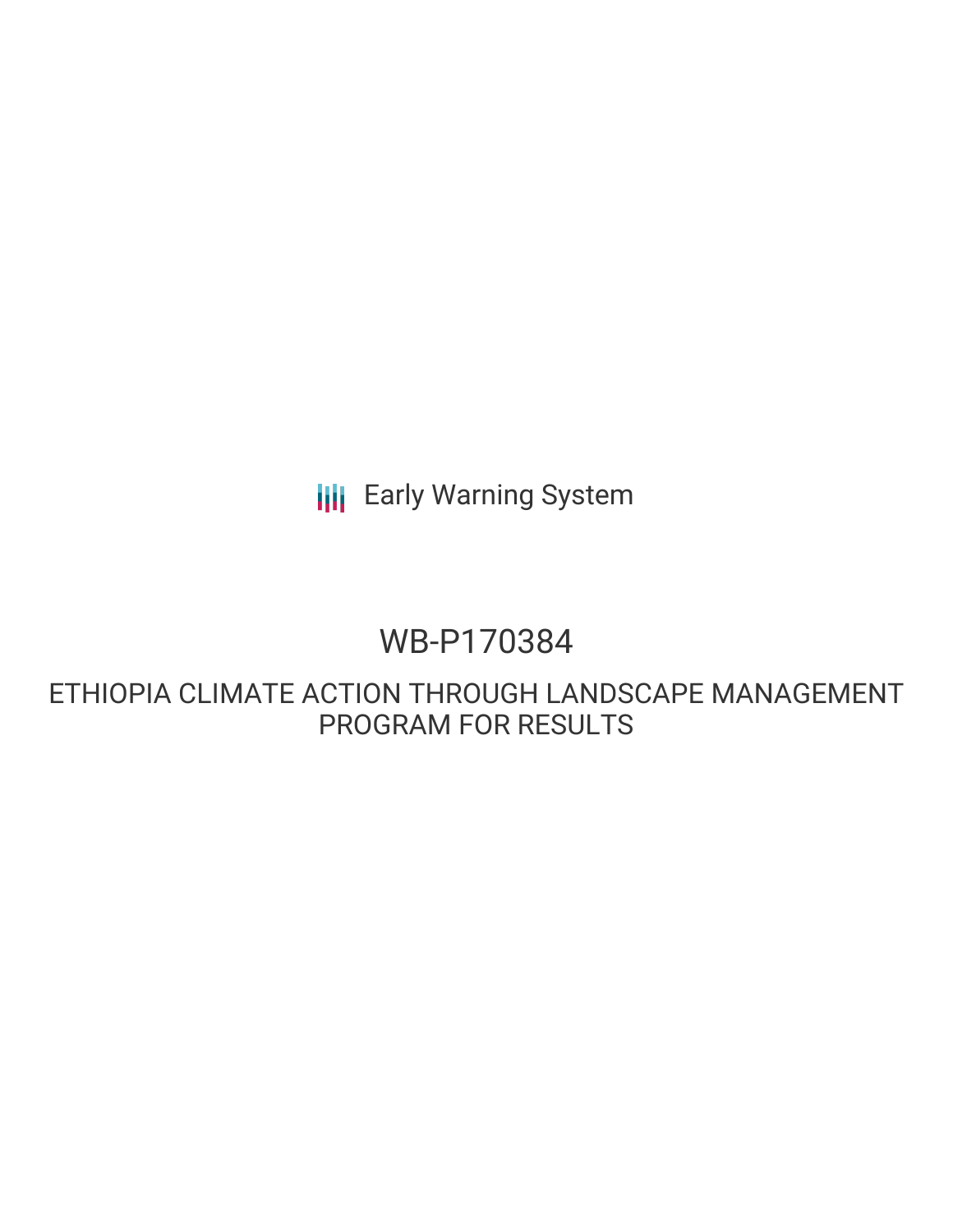**III** Early Warning System

# WB-P170384

ETHIOPIA CLIMATE ACTION THROUGH LANDSCAPE MANAGEMENT PROGRAM FOR RESULTS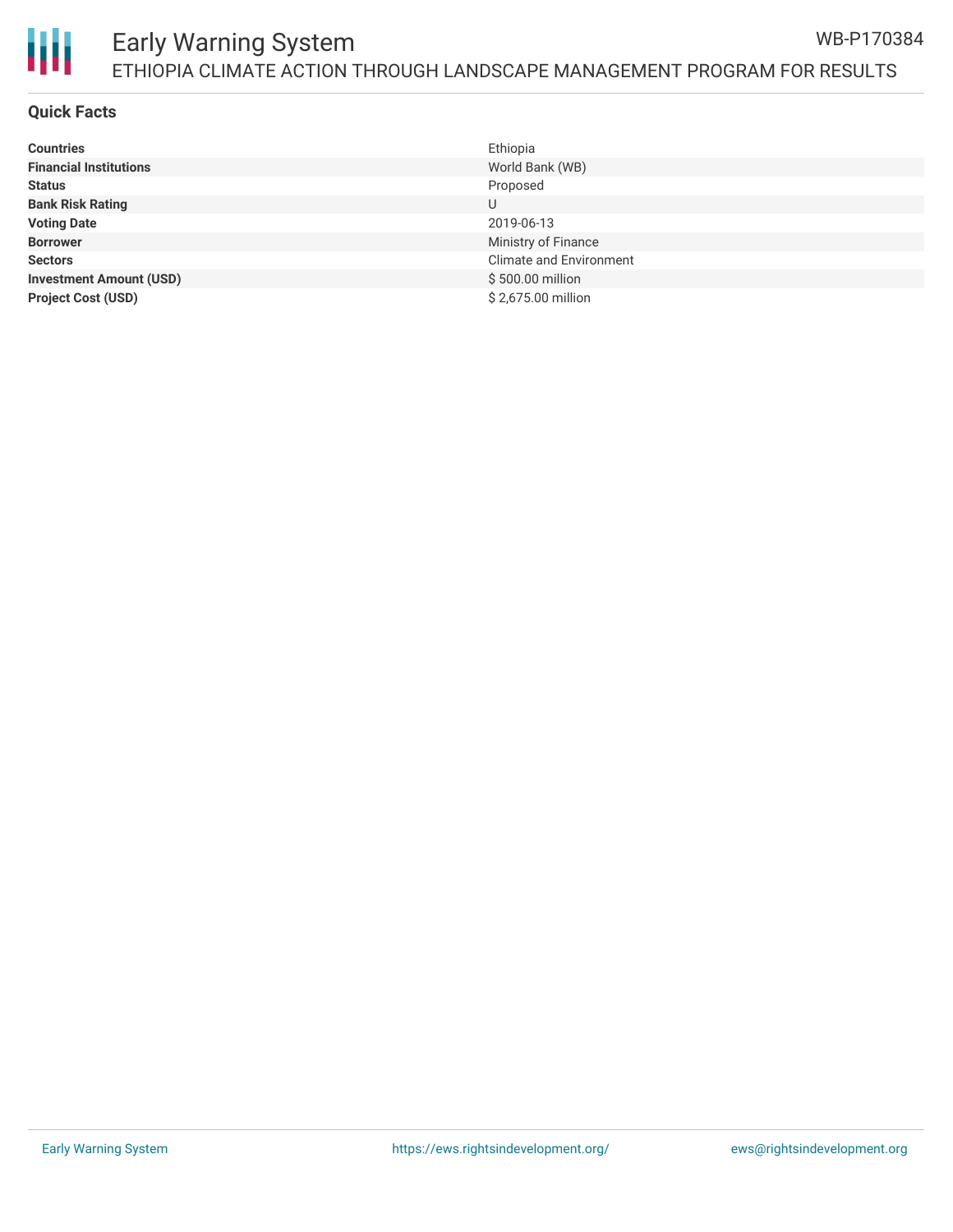

#### Early Warning System ETHIOPIA CLIMATE ACTION THROUGH LANDSCAPE MANAGEMENT PROGRAM FOR RESULTS WB-P170384

#### **Quick Facts**

| <b>Countries</b>               | Ethiopia                       |
|--------------------------------|--------------------------------|
| <b>Financial Institutions</b>  | World Bank (WB)                |
| <b>Status</b>                  | Proposed                       |
| <b>Bank Risk Rating</b>        | U                              |
| <b>Voting Date</b>             | 2019-06-13                     |
| <b>Borrower</b>                | Ministry of Finance            |
| <b>Sectors</b>                 | <b>Climate and Environment</b> |
| <b>Investment Amount (USD)</b> | \$500.00 million               |
| <b>Project Cost (USD)</b>      | \$2,675.00 million             |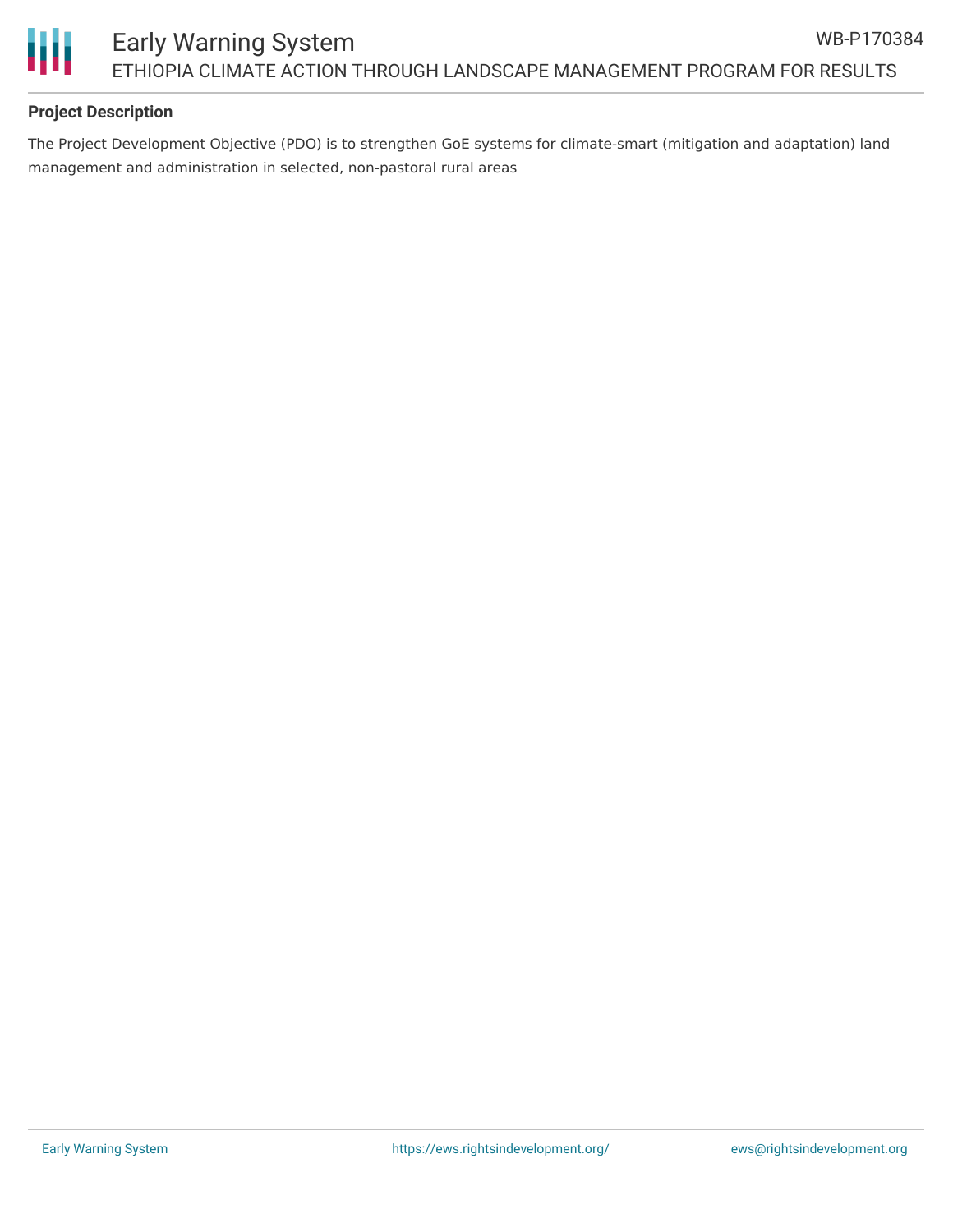

## **Project Description**

The Project Development Objective (PDO) is to strengthen GoE systems for climate-smart (mitigation and adaptation) land management and administration in selected, non-pastoral rural areas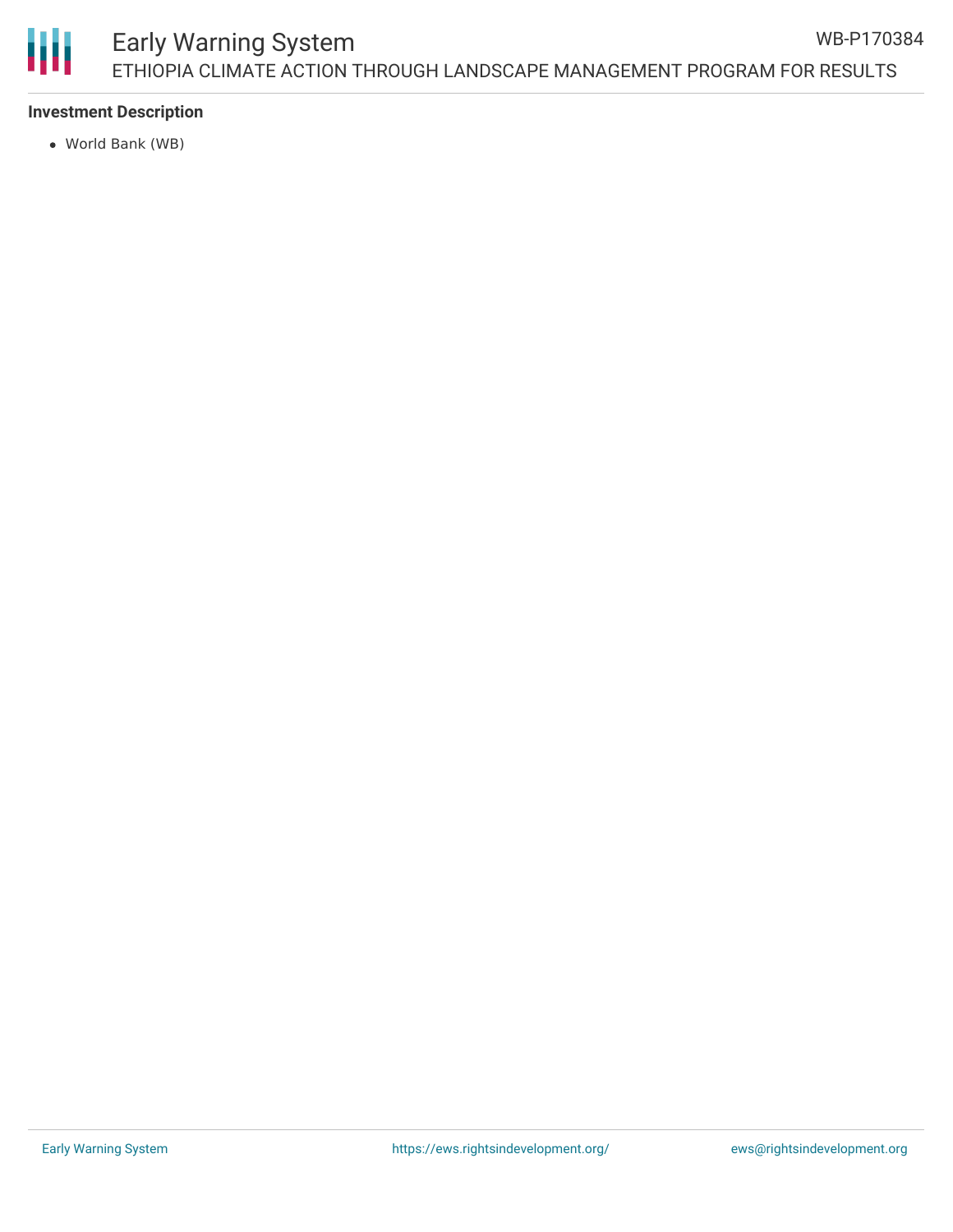## **Investment Description**

World Bank (WB)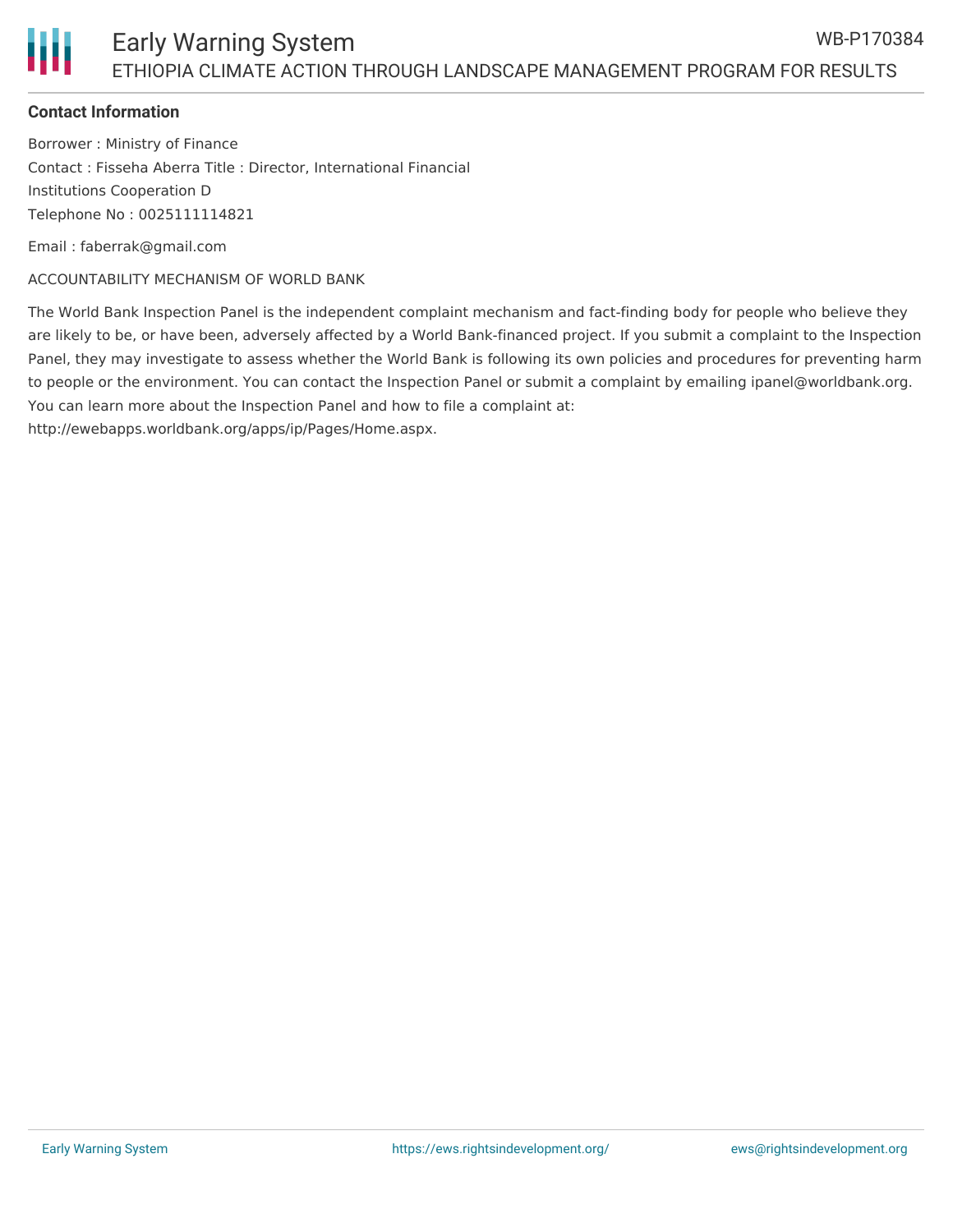## Early Warning System ETHIOPIA CLIMATE ACTION THROUGH LANDSCAPE MANAGEMENT PROGRAM FOR RESULTS

#### **Contact Information**

Borrower : Ministry of Finance Contact : Fisseha Aberra Title : Director, International Financial Institutions Cooperation D Telephone No : 0025111114821

Email : faberrak@gmail.com

ACCOUNTABILITY MECHANISM OF WORLD BANK

The World Bank Inspection Panel is the independent complaint mechanism and fact-finding body for people who believe they are likely to be, or have been, adversely affected by a World Bank-financed project. If you submit a complaint to the Inspection Panel, they may investigate to assess whether the World Bank is following its own policies and procedures for preventing harm to people or the environment. You can contact the Inspection Panel or submit a complaint by emailing ipanel@worldbank.org. You can learn more about the Inspection Panel and how to file a complaint at:

http://ewebapps.worldbank.org/apps/ip/Pages/Home.aspx.